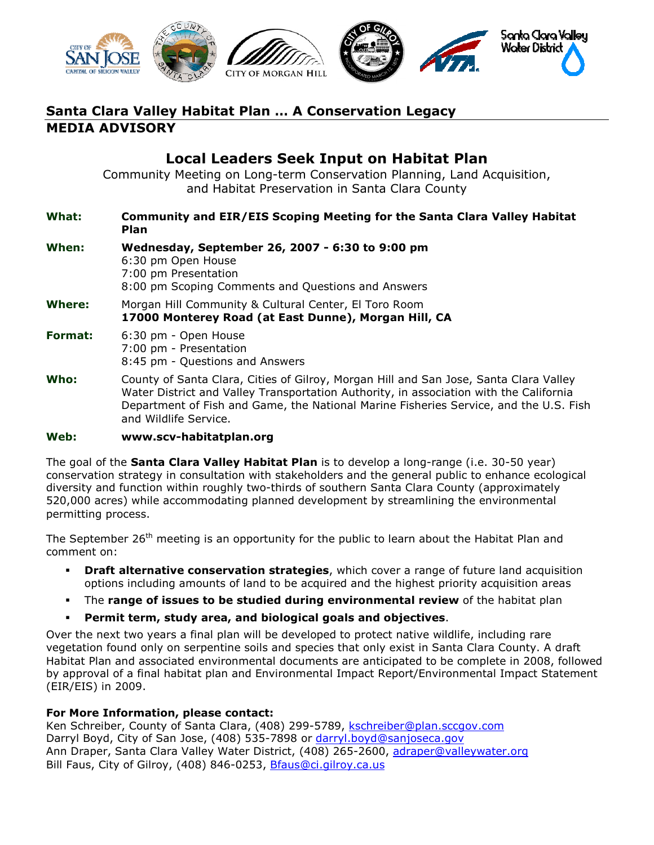

# Santa Clara Valley Habitat Plan … A Conservation Legacy MEDIA ADVISORY

## Local Leaders Seek Input on Habitat Plan

Community Meeting on Long-term Conservation Planning, Land Acquisition, and Habitat Preservation in Santa Clara County

#### What: Community and EIR/EIS Scoping Meeting for the Santa Clara Valley Habitat Plan

| When:          | Wednesday, September 26, 2007 - 6:30 to 9:00 pm<br>6:30 pm Open House<br>7:00 pm Presentation<br>8:00 pm Scoping Comments and Questions and Answers                                                                                                                                               |
|----------------|---------------------------------------------------------------------------------------------------------------------------------------------------------------------------------------------------------------------------------------------------------------------------------------------------|
| Where:         | Morgan Hill Community & Cultural Center, El Toro Room<br>17000 Monterey Road (at East Dunne), Morgan Hill, CA                                                                                                                                                                                     |
| <b>Format:</b> | 6:30 pm - Open House<br>7:00 pm - Presentation<br>8:45 pm - Questions and Answers                                                                                                                                                                                                                 |
| Who:           | County of Santa Clara, Cities of Gilroy, Morgan Hill and San Jose, Santa Clara Valley<br>Water District and Valley Transportation Authority, in association with the California<br>Department of Fish and Game, the National Marine Fisheries Service, and the U.S. Fish<br>and Wildlife Service. |

#### Web: www.scv-habitatplan.org

The goal of the **Santa Clara Valley Habitat Plan** is to develop a long-range (i.e. 30-50 year) conservation strategy in consultation with stakeholders and the general public to enhance ecological diversity and function within roughly two-thirds of southern Santa Clara County (approximately 520,000 acres) while accommodating planned development by streamlining the environmental permitting process.

The September 26<sup>th</sup> meeting is an opportunity for the public to learn about the Habitat Plan and comment on:

- **Draft alternative conservation strategies**, which cover a range of future land acquisition options including amounts of land to be acquired and the highest priority acquisition areas
- The range of issues to be studied during environmental review of the habitat plan
- Permit term, study area, and biological goals and objectives.

Over the next two years a final plan will be developed to protect native wildlife, including rare vegetation found only on serpentine soils and species that only exist in Santa Clara County. A draft Habitat Plan and associated environmental documents are anticipated to be complete in 2008, followed by approval of a final habitat plan and Environmental Impact Report/Environmental Impact Statement (EIR/EIS) in 2009.

### For More Information, please contact:

Ken Schreiber, County of Santa Clara, (408) 299-5789, kschreiber@plan.sccgov.com Darryl Boyd, City of San Jose, (408) 535-7898 or darryl.boyd@sanjoseca.gov Ann Draper, Santa Clara Valley Water District, (408) 265-2600, adraper@valleywater.org Bill Faus, City of Gilroy, (408) 846-0253, Bfaus@ci.gilroy.ca.us